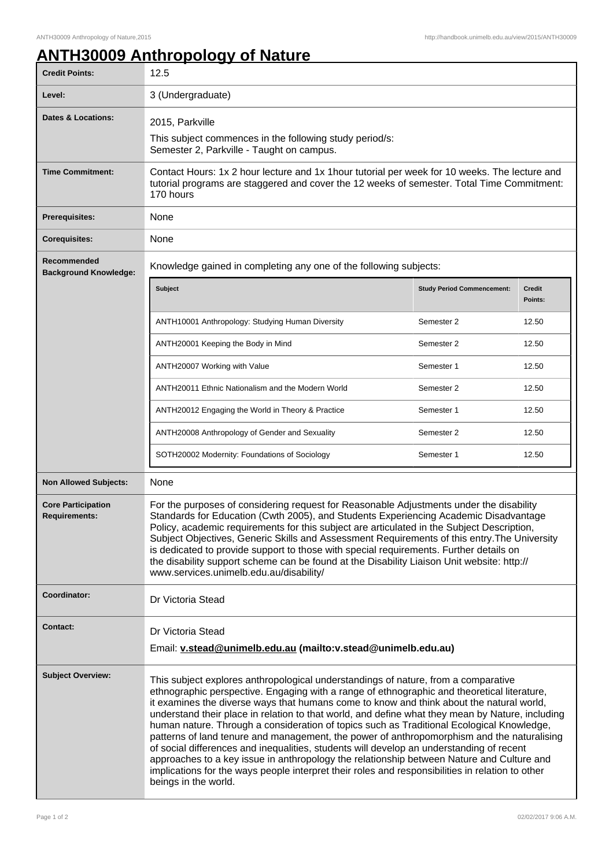## **ANTH30009 Anthropology of Nature**

| <b>Credit Points:</b>                             | 12.5                                                                                                                                                                                                                                                                                                                                                                                                                                                                                                                                                                                                                                                                                                                                                                                                                                                                                              |                                   |                   |  |
|---------------------------------------------------|---------------------------------------------------------------------------------------------------------------------------------------------------------------------------------------------------------------------------------------------------------------------------------------------------------------------------------------------------------------------------------------------------------------------------------------------------------------------------------------------------------------------------------------------------------------------------------------------------------------------------------------------------------------------------------------------------------------------------------------------------------------------------------------------------------------------------------------------------------------------------------------------------|-----------------------------------|-------------------|--|
| Level:                                            | 3 (Undergraduate)                                                                                                                                                                                                                                                                                                                                                                                                                                                                                                                                                                                                                                                                                                                                                                                                                                                                                 |                                   |                   |  |
| Dates & Locations:                                | 2015, Parkville<br>This subject commences in the following study period/s:<br>Semester 2, Parkville - Taught on campus.                                                                                                                                                                                                                                                                                                                                                                                                                                                                                                                                                                                                                                                                                                                                                                           |                                   |                   |  |
| <b>Time Commitment:</b>                           | Contact Hours: 1x 2 hour lecture and 1x 1 hour tutorial per week for 10 weeks. The lecture and<br>tutorial programs are staggered and cover the 12 weeks of semester. Total Time Commitment:<br>170 hours                                                                                                                                                                                                                                                                                                                                                                                                                                                                                                                                                                                                                                                                                         |                                   |                   |  |
| Prerequisites:                                    | None                                                                                                                                                                                                                                                                                                                                                                                                                                                                                                                                                                                                                                                                                                                                                                                                                                                                                              |                                   |                   |  |
| <b>Corequisites:</b>                              | None                                                                                                                                                                                                                                                                                                                                                                                                                                                                                                                                                                                                                                                                                                                                                                                                                                                                                              |                                   |                   |  |
| Recommended<br><b>Background Knowledge:</b>       | Knowledge gained in completing any one of the following subjects:                                                                                                                                                                                                                                                                                                                                                                                                                                                                                                                                                                                                                                                                                                                                                                                                                                 |                                   |                   |  |
|                                                   | <b>Subject</b>                                                                                                                                                                                                                                                                                                                                                                                                                                                                                                                                                                                                                                                                                                                                                                                                                                                                                    | <b>Study Period Commencement:</b> | Credit<br>Points: |  |
|                                                   | ANTH10001 Anthropology: Studying Human Diversity                                                                                                                                                                                                                                                                                                                                                                                                                                                                                                                                                                                                                                                                                                                                                                                                                                                  | Semester 2                        | 12.50             |  |
|                                                   | ANTH20001 Keeping the Body in Mind                                                                                                                                                                                                                                                                                                                                                                                                                                                                                                                                                                                                                                                                                                                                                                                                                                                                | Semester 2                        | 12.50             |  |
|                                                   | ANTH20007 Working with Value                                                                                                                                                                                                                                                                                                                                                                                                                                                                                                                                                                                                                                                                                                                                                                                                                                                                      | Semester 1                        | 12.50             |  |
|                                                   | ANTH20011 Ethnic Nationalism and the Modern World                                                                                                                                                                                                                                                                                                                                                                                                                                                                                                                                                                                                                                                                                                                                                                                                                                                 | Semester 2                        | 12.50             |  |
|                                                   | ANTH20012 Engaging the World in Theory & Practice                                                                                                                                                                                                                                                                                                                                                                                                                                                                                                                                                                                                                                                                                                                                                                                                                                                 | Semester 1                        | 12.50             |  |
|                                                   | ANTH20008 Anthropology of Gender and Sexuality                                                                                                                                                                                                                                                                                                                                                                                                                                                                                                                                                                                                                                                                                                                                                                                                                                                    | Semester 2                        | 12.50             |  |
|                                                   | SOTH20002 Modernity: Foundations of Sociology                                                                                                                                                                                                                                                                                                                                                                                                                                                                                                                                                                                                                                                                                                                                                                                                                                                     | Semester 1                        | 12.50             |  |
| <b>Non Allowed Subjects:</b>                      | None                                                                                                                                                                                                                                                                                                                                                                                                                                                                                                                                                                                                                                                                                                                                                                                                                                                                                              |                                   |                   |  |
| <b>Core Participation</b><br><b>Requirements:</b> | For the purposes of considering request for Reasonable Adjustments under the disability<br>Standards for Education (Cwth 2005), and Students Experiencing Academic Disadvantage<br>Policy, academic requirements for this subject are articulated in the Subject Description,<br>Subject Objectives, Generic Skills and Assessment Requirements of this entry. The University<br>is dedicated to provide support to those with special requirements. Further details on<br>the disability support scheme can be found at the Disability Liaison Unit website: http://<br>www.services.unimelb.edu.au/disability/                                                                                                                                                                                                                                                                                  |                                   |                   |  |
| Coordinator:                                      | Dr Victoria Stead                                                                                                                                                                                                                                                                                                                                                                                                                                                                                                                                                                                                                                                                                                                                                                                                                                                                                 |                                   |                   |  |
| <b>Contact:</b>                                   | Dr Victoria Stead<br>Email: v.stead@unimelb.edu.au (mailto:v.stead@unimelb.edu.au)                                                                                                                                                                                                                                                                                                                                                                                                                                                                                                                                                                                                                                                                                                                                                                                                                |                                   |                   |  |
| <b>Subject Overview:</b>                          | This subject explores anthropological understandings of nature, from a comparative<br>ethnographic perspective. Engaging with a range of ethnographic and theoretical literature,<br>it examines the diverse ways that humans come to know and think about the natural world,<br>understand their place in relation to that world, and define what they mean by Nature, including<br>human nature. Through a consideration of topics such as Traditional Ecological Knowledge,<br>patterns of land tenure and management, the power of anthropomorphism and the naturalising<br>of social differences and inequalities, students will develop an understanding of recent<br>approaches to a key issue in anthropology the relationship between Nature and Culture and<br>implications for the ways people interpret their roles and responsibilities in relation to other<br>beings in the world. |                                   |                   |  |